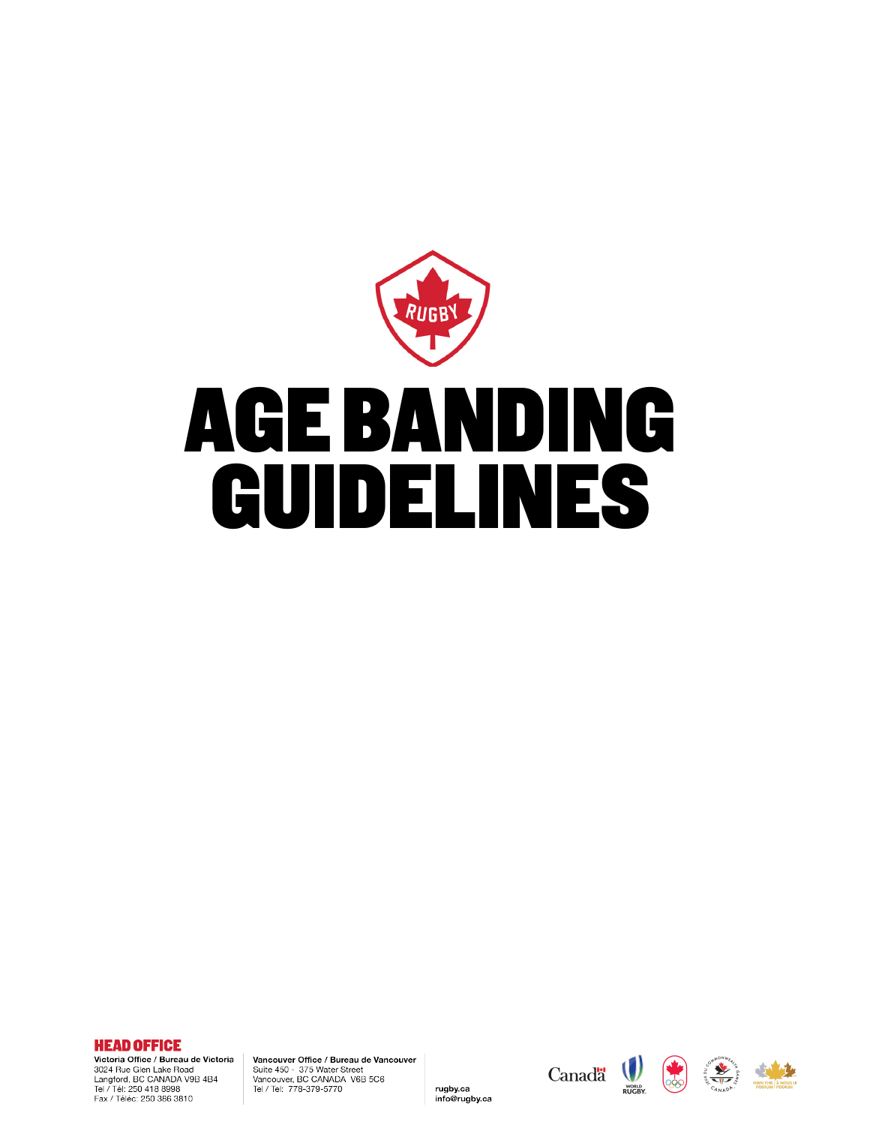



Victoria Office / Bureau de Victoria 3024 Rue Glen Lake Road<br>Langford, BC CANADA V9B 4B4<br>Tel / Tél: 250 418 8998 Fax / Téléc: 250 386 3810

Vancouver Office / Bureau de Vancouver Suite 450 - 375 Water Street Vancouver, BC CANADA V6B 5C6<br>Tel / Tel: 778-379-5770

rugby.ca

info@rugby.ca





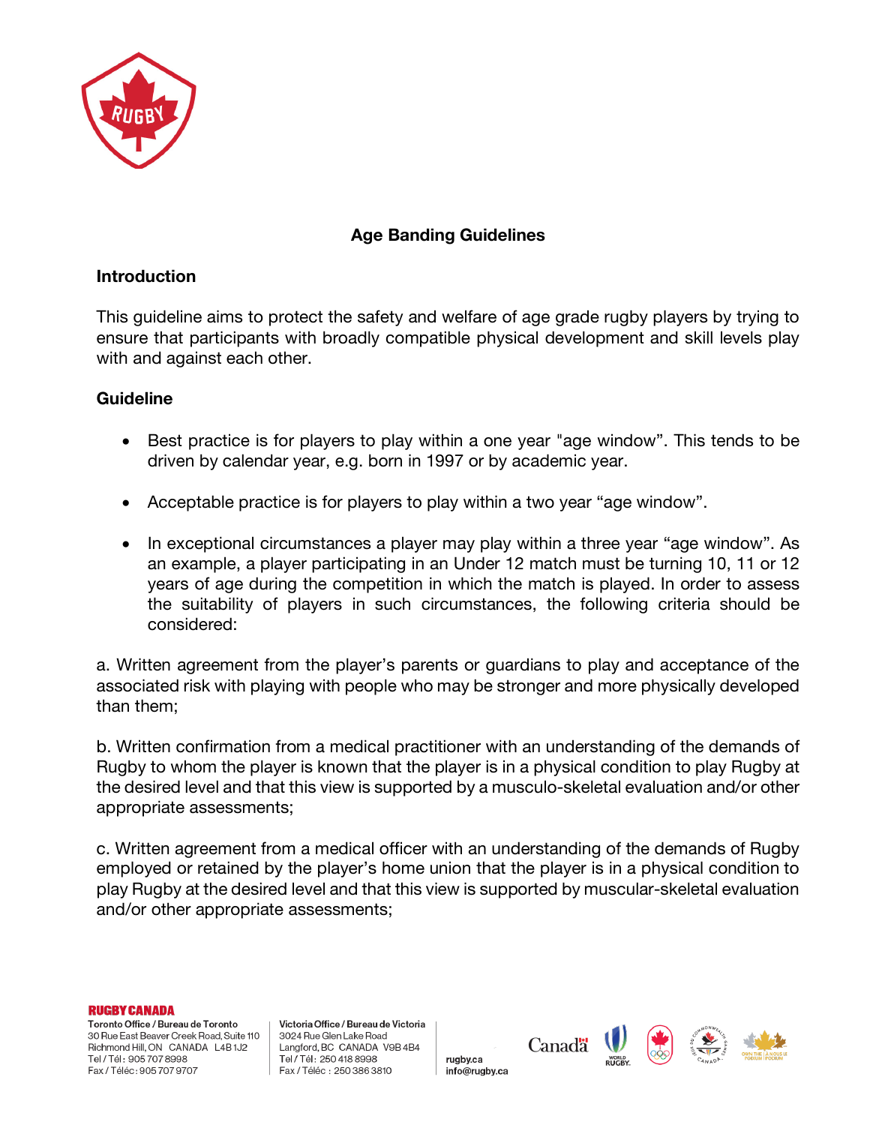

## **Age Banding Guidelines**

## **Introduction**

This guideline aims to protect the safety and welfare of age grade rugby players by trying to ensure that participants with broadly compatible physical development and skill levels play with and against each other.

## **Guideline**

- Best practice is for players to play within a one year "age window". This tends to be driven by calendar year, e.g. born in 1997 or by academic year.
- Acceptable practice is for players to play within a two year "age window".
- In exceptional circumstances a player may play within a three year "age window". As an example, a player participating in an Under 12 match must be turning 10, 11 or 12 years of age during the competition in which the match is played. In order to assess the suitability of players in such circumstances, the following criteria should be considered:

a. Written agreement from the player's parents or guardians to play and acceptance of the associated risk with playing with people who may be stronger and more physically developed than them;

b. Written confirmation from a medical practitioner with an understanding of the demands of Rugby to whom the player is known that the player is in a physical condition to play Rugby at the desired level and that this view is supported by a musculo-skeletal evaluation and/or other appropriate assessments;

c. Written agreement from a medical officer with an understanding of the demands of Rugby employed or retained by the player's home union that the player is in a physical condition to play Rugby at the desired level and that this view is supported by muscular-skeletal evaluation and/or other appropriate assessments;

**RUGBY CANADA** 

Toronto Office / Bureau de Toronto 30 Rue East Beaver Creek Road, Suite 110 Richmond Hill, ON CANADA L4B1J2 Tel / Tél: 905 707 8998 Fax / Téléc : 905 707 9707

Victoria Office / Bureau de Victoria 3024 Rue Glen Lake Road Langford, BC CANADA V9B 4B4 Tel / Tél: 250 418 8998 Fax / Téléc: 250 386 3810

rugby.ca info@rugby.ca